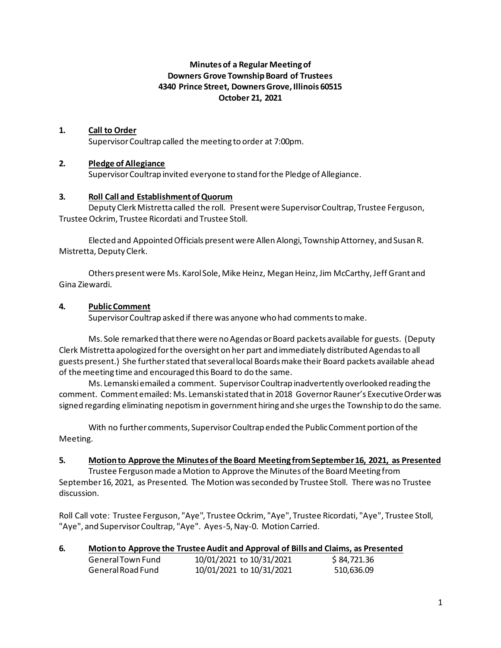# **Minutes of a Regular Meeting of Downers Grove Township Board of Trustees 4340 Prince Street, Downers Grove, Illinois 60515 October 21, 2021**

## **1. Call to Order**

Supervisor Coultrap called the meeting to order at 7:00pm.

## **2. Pledge of Allegiance**

Supervisor Coultrap invited everyone to stand for the Pledge of Allegiance.

#### **3. Roll Call and Establishment of Quorum**

Deputy Clerk Mistretta called the roll. Present were Supervisor Coultrap, Trustee Ferguson, Trustee Ockrim, Trustee Ricordati and Trustee Stoll.

Elected and Appointed Officials present were Allen Alongi, Township Attorney, and Susan R. Mistretta, Deputy Clerk.

Others present were Ms. Karol Sole, Mike Heinz, Megan Heinz, Jim McCarthy, Jeff Grant and Gina Ziewardi.

#### **4. Public Comment**

Supervisor Coultrap asked if there was anyone who had comments to make.

Ms. Sole remarked that there were no Agendas or Board packets available for guests. (Deputy Clerk Mistretta apologized for the oversight on her part and immediately distributed Agendas to all guests present.) She further stated that several local Boards make their Board packets available ahead of the meeting time and encouraged this Board to do the same.

Ms. Lemanski emailed a comment. Supervisor Coultrap inadvertently overlooked reading the comment. Comment emailed: Ms. Lemanski stated that in 2018 Governor Rauner's Executive Order was signed regarding eliminating nepotism in government hiring and she urges the Township to do the same.

With no further comments, Supervisor Coultrap ended the Public Comment portion of the Meeting.

#### **5. Motion to Approve the Minutes of the Board Meeting from September 16, 2021, as Presented**

Trustee Ferguson made a Motion to Approve the Minutes of the Board Meeting from September 16, 2021, as Presented. The Motion was seconded by Trustee Stoll. There was no Trustee discussion.

Roll Call vote: Trustee Ferguson, "Aye", Trustee Ockrim, "Aye", Trustee Ricordati, "Aye", Trustee Stoll, "Aye", and Supervisor Coultrap, "Aye". Ayes-5, Nay-0. Motion Carried.

| 6. | Motion to Approve the Trustee Audit and Approval of Bills and Claims, as Presented |  |
|----|------------------------------------------------------------------------------------|--|
|    |                                                                                    |  |

| General Town Fund | 10/01/2021 to 10/31/2021 | \$84,721.36 |
|-------------------|--------------------------|-------------|
| General Road Fund | 10/01/2021 to 10/31/2021 | 510,636.09  |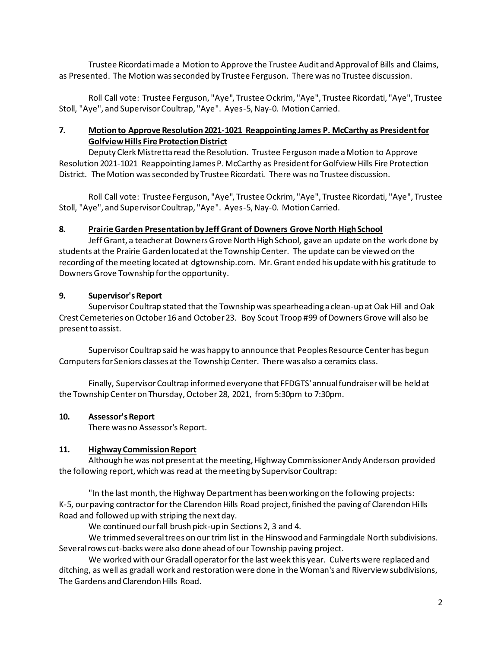Trustee Ricordati made a Motion to Approve the Trustee Audit and Approval of Bills and Claims, as Presented. The Motion was seconded by Trustee Ferguson. There was no Trustee discussion.

Roll Call vote: Trustee Ferguson, "Aye", Trustee Ockrim, "Aye", Trustee Ricordati, "Aye", Trustee Stoll, "Aye", and Supervisor Coultrap, "Aye". Ayes-5, Nay-0. Motion Carried.

## **7. Motion to Approve Resolution 2021-1021 Reappointing James P. McCarthy as President for Golfview Hills Fire Protection District**

Deputy Clerk Mistretta read the Resolution. Trustee Ferguson made a Motion to Approve Resolution 2021-1021 Reappointing James P. McCarthy as President for Golfview Hills Fire Protection District. The Motion was seconded by Trustee Ricordati. There was no Trustee discussion.

Roll Call vote: Trustee Ferguson, "Aye", Trustee Ockrim, "Aye", Trustee Ricordati, "Aye", Trustee Stoll, "Aye", and Supervisor Coultrap, "Aye". Ayes-5, Nay-0. Motion Carried.

## **8. Prairie Garden Presentation by Jeff Grant of Downers Grove North High School**

Jeff Grant, a teacher at Downers Grove North High School, gave an update on the work done by students at the Prairie Garden located at the Township Center. The update can be viewed on the recording of the meeting located at dgtownship.com. Mr. Grant ended his update with his gratitude to Downers Grove Township for the opportunity.

## **9. Supervisor's Report**

Supervisor Coultrap stated that the Township was spearheading a clean-up at Oak Hill and Oak Crest Cemeteries on October 16 and October 23. Boy Scout Troop #99 of Downers Grove will also be present to assist.

Supervisor Coultrap said he was happy to announce that Peoples Resource Center has begun Computers for Seniors classes at the Township Center. There was also a ceramics class.

Finally, Supervisor Coultrap informed everyone that FFDGTS' annual fundraiser will be held at the Township Center on Thursday, October 28, 2021, from 5:30pm to 7:30pm.

## **10. Assessor's Report**

There was no Assessor's Report.

## **11. Highway Commission Report**

Although he was not present at the meeting, Highway Commissioner Andy Anderson provided the following report, which was read at the meeting by Supervisor Coultrap:

"In the last month, the Highway Department has been working on the following projects: K-5, our paving contractor for the Clarendon Hills Road project, finished the paving of Clarendon Hills Road and followed up with striping the next day.

We continued our fall brush pick-up in Sections 2, 3 and 4.

We trimmed several trees on our trim list in the Hinswood and Farmingdale North subdivisions. Several rows cut-backs were also done ahead of our Township paving project.

We worked with our Gradall operator for the last week this year. Culverts were replaced and ditching, as well as gradall work and restoration were done in the Woman's and Riverview subdivisions, The Gardens and Clarendon Hills Road.